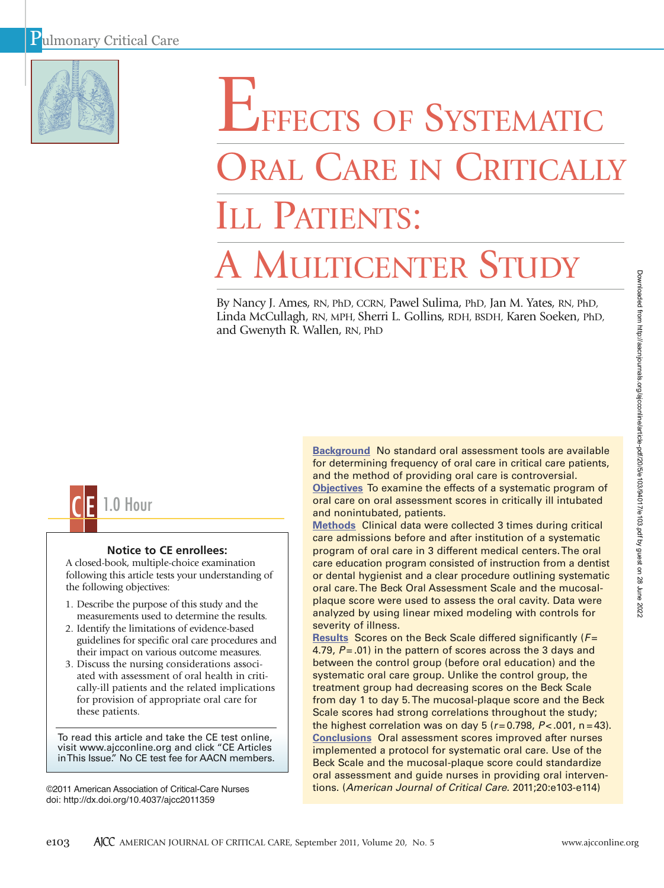

# EFFECTS OF SYSTEMATIC ORAL CARE IN CRITICALI ILL PATIENTS:

# A MULTICENTER STUDY

By Nancy J. Ames, RN, PhD, CCRN, Pawel Sulima, PhD, Jan M. Yates, RN, PhD, Linda McCullagh, RN, MPH, Sherri L. Gollins, RDH, BSDH, Karen Soeken, PhD, and Gwenyth R. Wallen, RN, PhD



# **Notice to CE enrollees:**

A closed-book, multiple-choice examination following this article tests your understanding of the following objectives:

- 1. Describe the purpose of this study and the measurements used to determine the results.
- 2. Identify the limitations of evidence-based guidelines for specific oral care procedures and their impact on various outcome measures.
- 3. Discuss the nursing considerations associated with assessment of oral health in critically-ill patients and the related implications for provision of appropriate oral care for these patients.

To read this article and take the CE test online, visit www.ajcconline.org and click "CE Articles in This Issue." No CE test fee for AACN members.

©2011 American Association of Critical-Care Nurses doi: http://dx.doi.org/10.4037/ajcc2011359

**Background** No standard oral assessment tools are available for determining frequency of oral care in critical care patients, and the method of providing oral care is controversial.

**Objectives** To examine the effects of a systematic program of oral care on oral assessment scores in critically ill intubated and nonintubated, patients.

**Methods** Clinical data were collected 3 times during critical care admissions before and after institution of a systematic program of oral care in 3 different medical centers. The oral care education program consisted of instruction from a dentist or dental hygienist and a clear procedure outlining systematic oral care. The Beck Oral Assessment Scale and the mucosalplaque score were used to assess the oral cavity. Data were analyzed by using linear mixed modeling with controls for severity of illness.

**Results** Scores on the Beck Scale differed significantly (*F* = 4.79,  $P = .01$ ) in the pattern of scores across the 3 days and between the control group (before oral education) and the systematic oral care group. Unlike the control group, the treatment group had decreasing scores on the Beck Scale from day 1 to day 5. The mucosal-plaque score and the Beck Scale scores had strong correlations throughout the study; the highest correlation was on day  $5 (r = 0.798, P < .001, n = 43)$ . **Conclusions** Oral assessment scores improved after nurses implemented a protocol for systematic oral care. Use of the Beck Scale and the mucosal-plaque score could standardize oral assessment and guide nurses in providing oral interventions. (*American Journal of Critical Care.* 2011;20:e103-e114)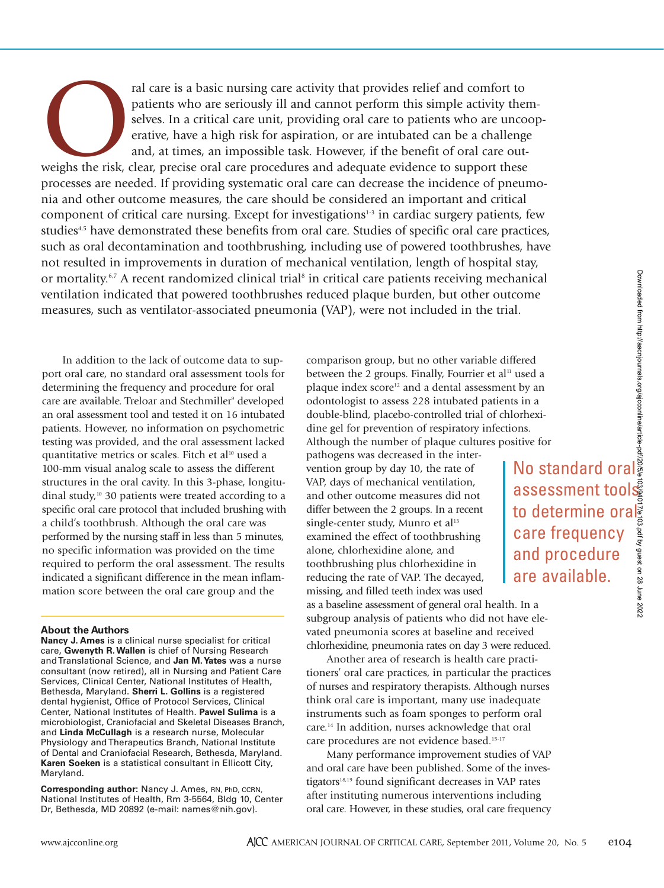care frequency and procedure are available.

The risk of a particular care is a basic nursing care activity that provides relief and comfort to patients who are uncosened substant and a critical care unit, providing oral care to patients who are uncoentative, have a patients who are seriously ill and cannot perform this simple activity themselves. In a critical care unit, providing oral care to patients who are uncooperative, have a high risk for aspiration, or are intubated can be a challenge and, at times, an impossible task. However, if the benefit of oral care outprocesses are needed. If providing systematic oral care can decrease the incidence of pneumonia and other outcome measures, the care should be considered an important and critical component of critical care nursing. Except for investigations $1-3$  in cardiac surgery patients, few studies<sup>4,5</sup> have demonstrated these benefits from oral care. Studies of specific oral care practices, such as oral decontamination and toothbrushing, including use of powered toothbrushes, have not resulted in improvements in duration of mechanical ventilation, length of hospital stay, or mortality.<sup>6,7</sup> A recent randomized clinical trial<sup>8</sup> in critical care patients receiving mechanical ventilation indicated that powered toothbrushes reduced plaque burden, but other outcome measures, such as ventilator-associated pneumonia (VAP), were not included in the trial.

In addition to the lack of outcome data to support oral care, no standard oral assessment tools for determining the frequency and procedure for oral care are available. Treloar and Stechmiller<sup>9</sup> developed an oral assessment tool and tested it on 16 intubated patients. However, no information on psychometric testing was provided, and the oral assessment lacked quantitative metrics or scales. Fitch et al<sup>10</sup> used a 100-mm visual analog scale to assess the different structures in the oral cavity. In this 3-phase, longitudinal study,<sup>10</sup> 30 patients were treated according to a specific oral care protocol that included brushing with a child's toothbrush. Although the oral care was performed by the nursing staff in less than 5 minutes, no specific information was provided on the time required to perform the oral assessment. The results indicated a significant difference in the mean inflammation score between the oral care group and the

# **About the Authors**

**Nancy J. Ames** is a clinical nurse specialist for critical care, **Gwenyth R. Wallen** is chief of Nursing Research and Translational Science, and **Jan M. Yates** was a nurse consultant (now retired), all in Nursing and Patient Care Services, Clinical Center, National Institutes of Health, Bethesda, Maryland. **Sherri L. Gollins** is a registered dental hygienist, Office of Protocol Services, Clinical Center, National Institutes of Health. **Pawel Sulima** is a microbiologist, Craniofacial and Skeletal Diseases Branch, and **Linda McCullagh** is a research nurse, Molecular Physiology and Therapeutics Branch, National Institute of Dental and Craniofacial Research, Bethesda, Maryland. **Karen Soeken** is a statistical consultant in Ellicott City, Maryland.

**Corresponding author:** Nancy J. Ames, RN, PhD, CCRN, National Institutes of Health, Rm 3-5564, Bldg 10, Center Dr, Bethesda, MD 20892 (e-mail: names@nih.gov).

comparison group, but no other variable differed between the 2 groups. Finally, Fourrier et al<sup>11</sup> used a plaque index score<sup>12</sup> and a dental assessment by an odontologist to assess 228 intubated patients in a double-blind, placebo-controlled trial of chlorhexidine gel for prevention of respiratory infections. Although the number of plaque cultures positive for

pathogens was decreased in the intervention group by day 10, the rate of VAP, days of mechanical ventilation, and other outcome measures did not differ between the 2 groups. In a recent single-center study, Munro et al<sup>13</sup> examined the effect of toothbrushing alone, chlorhexidine alone, and toothbrushing plus chlorhexidine in reducing the rate of VAP. The decayed, missing, and filled teeth index was used

as a baseline assessment of general oral health. In a subgroup analysis of patients who did not have elevated pneumonia scores at baseline and received chlorhexidine, pneumonia rates on day 3 were reduced.

Another area of research is health care practitioners' oral care practices, in particular the practices of nurses and respiratory therapists. Although nurses think oral care is important, many use inadequate instruments such as foam sponges to perform oral care.14 In addition, nurses acknowledge that oral care procedures are not evidence based.<sup>15-17</sup>

Many performance improvement studies of VAP and oral care have been published. Some of the investigators<sup>18,19</sup> found significant decreases in VAP rates after instituting numerous interventions including oral care. However, in these studies, oral care frequency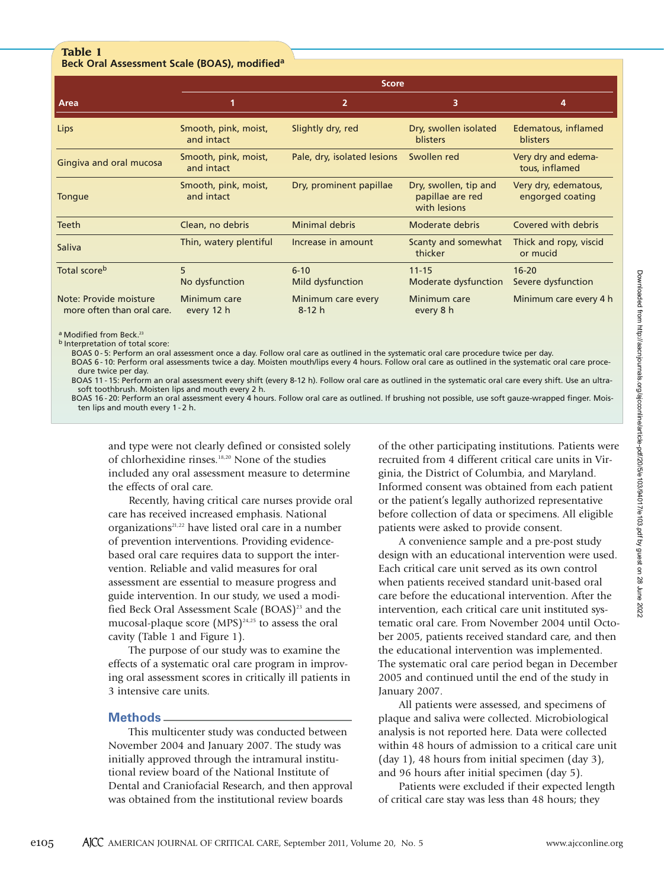# **Table 1 Beck Oral Assessment Scale (BOAS), modifieda**

|                                                      | <b>Score</b>                       |                                            |                                          |                                          |  |  |  |  |
|------------------------------------------------------|------------------------------------|--------------------------------------------|------------------------------------------|------------------------------------------|--|--|--|--|
| Area                                                 |                                    | $\overline{2}$                             | 3                                        | 4                                        |  |  |  |  |
| Lips                                                 | Smooth, pink, moist,<br>and intact | Slightly dry, red                          | Dry, swollen isolated<br><b>blisters</b> | Edematous, inflamed<br><b>blisters</b>   |  |  |  |  |
| Gingiva and oral mucosa                              | Smooth, pink, moist,<br>and intact | Swollen red<br>Pale, dry, isolated lesions |                                          | Very dry and edema-<br>tous, inflamed    |  |  |  |  |
| Tongue                                               | Smooth, pink, moist,<br>and intact | Dry, prominent papillae                    |                                          | Very dry, edematous,<br>engorged coating |  |  |  |  |
| <b>Teeth</b>                                         | Clean, no debris                   | <b>Minimal debris</b>                      | Moderate debris                          | Covered with debris                      |  |  |  |  |
| <b>Saliva</b>                                        | Thin, watery plentiful             | Increase in amount                         | Scanty and somewhat<br>thicker           | Thick and ropy, viscid<br>or mucid       |  |  |  |  |
| Total score <sup>b</sup>                             | 5<br>No dysfunction                | $6 - 10$<br><b>Mild dysfunction</b>        | $11 - 15$<br>Moderate dysfunction        | $16 - 20$<br>Severe dysfunction          |  |  |  |  |
| Note: Provide moisture<br>more often than oral care. | Minimum care<br>every 12 h         | Minimum care every<br>$8-12 h$             | Minimum care<br>every 8 h                | Minimum care every 4 h                   |  |  |  |  |

a Modified from Beck.<sup>23</sup>

b Interpretation of total score:

BOAS 0 - 5: Perform an oral assessment once a day. Follow oral care as outlined in the systematic oral care procedure twice per day. BOAS 6 - 10: Perform oral assessments twice a day. Moisten mouth/lips every 4 hours. Follow oral care as outlined in the systematic oral care proce-

dure twice per day. BOAS 11 - 15: Perform an oral assessment every shift (every 8-12 h). Follow oral care as outlined in the systematic oral care every shift. Use an ultrasoft toothbrush. Moisten lips and mouth every 2 h.

BOAS 16 - 20: Perform an oral assessment every 4 hours. Follow oral care as outlined. If brushing not possible, use soft gauze-wrapped finger. Moisten lips and mouth every 1 - 2 h.

and type were not clearly defined or consisted solely of chlorhexidine rinses.18,20 None of the studies included any oral assessment measure to determine the effects of oral care.

Recently, having critical care nurses provide oral care has received increased emphasis. National organizations21,22 have listed oral care in a number of prevention interventions. Providing evidencebased oral care requires data to support the intervention. Reliable and valid measures for oral assessment are essential to measure progress and guide intervention. In our study, we used a modified Beck Oral Assessment Scale (BOAS)<sup>23</sup> and the mucosal-plaque score  $(MPS)^{24,25}$  to assess the oral cavity (Table 1 and Figure 1).

The purpose of our study was to examine the effects of a systematic oral care program in improving oral assessment scores in critically ill patients in 3 intensive care units.

# **Methods**

This multicenter study was conducted between November 2004 and January 2007. The study was initially approved through the intramural institutional review board of the National Institute of Dental and Craniofacial Research, and then approval was obtained from the institutional review boards

of the other participating institutions. Patients were recruited from 4 different critical care units in Virginia, the District of Columbia, and Maryland. Informed consent was obtained from each patient or the patient's legally authorized representative before collection of data or specimens. All eligible patients were asked to provide consent.

A convenience sample and a pre-post study design with an educational intervention were used. Each critical care unit served as its own control when patients received standard unit-based oral care before the educational intervention. After the intervention, each critical care unit instituted systematic oral care. From November 2004 until October 2005, patients received standard care, and then the educational intervention was implemented. The systematic oral care period began in December 2005 and continued until the end of the study in January 2007.

All patients were assessed, and specimens of plaque and saliva were collected. Microbiological analysis is not reported here. Data were collected within 48 hours of admission to a critical care unit (day 1), 48 hours from initial specimen (day 3), and 96 hours after initial specimen (day 5).

Patients were excluded if their expected length of critical care stay was less than 48 hours; they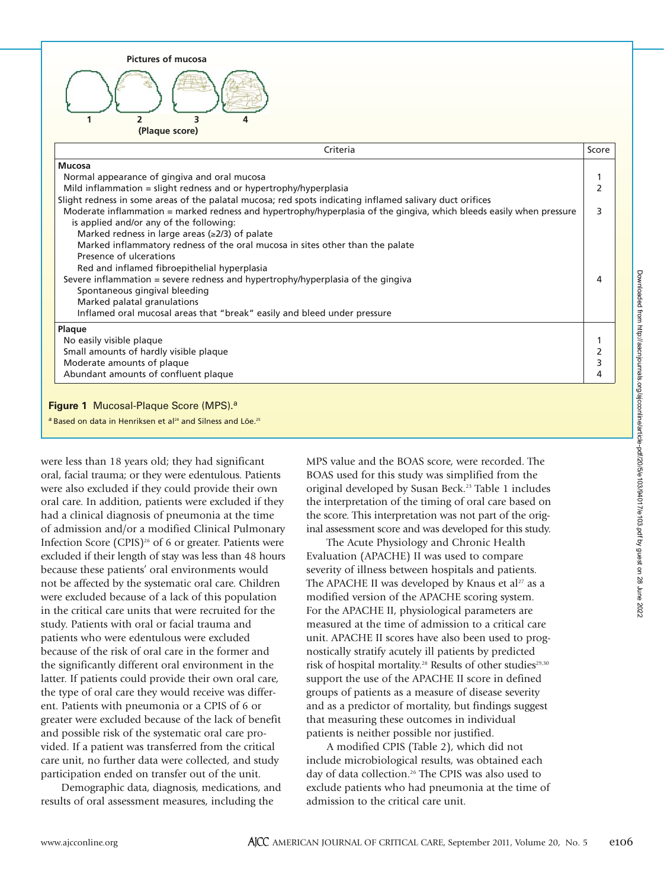| <b>Pictures of mucosa</b>                                                                                            |       |
|----------------------------------------------------------------------------------------------------------------------|-------|
|                                                                                                                      |       |
| 2<br>3                                                                                                               |       |
| (Plaque score)                                                                                                       |       |
| Criteria                                                                                                             | Score |
| Mucosa                                                                                                               |       |
| Normal appearance of gingiva and oral mucosa                                                                         |       |
| Mild inflammation = slight redness and or hypertrophy/hyperplasia                                                    | 2     |
| Slight redness in some areas of the palatal mucosa; red spots indicating inflamed salivary duct orifices             |       |
| Moderate inflammation = marked redness and hypertrophy/hyperplasia of the gingiva, which bleeds easily when pressure | 3     |
| is applied and/or any of the following:                                                                              |       |
| Marked redness in large areas $(\geq 2/3)$ of palate                                                                 |       |
| Marked inflammatory redness of the oral mucosa in sites other than the palate<br>Presence of ulcerations             |       |
| Red and inflamed fibroepithelial hyperplasia                                                                         |       |
| Severe inflammation $=$ severe redness and hypertrophy/hyperplasia of the gingiva                                    | 4     |
| Spontaneous gingival bleeding                                                                                        |       |
| Marked palatal granulations                                                                                          |       |
| Inflamed oral mucosal areas that "break" easily and bleed under pressure                                             |       |
| Plaque                                                                                                               |       |
| No easily visible plaque                                                                                             | 1     |
| Small amounts of hardly visible plaque                                                                               | 2     |
| Moderate amounts of plaque                                                                                           | 3     |
| Abundant amounts of confluent plaque                                                                                 | 4     |
| Figure 1 Mucosal-Plaque Score (MPS). <sup>a</sup>                                                                    |       |

were less than 18 years old; they had significant oral, facial trauma; or they were edentulous. Patients were also excluded if they could provide their own oral care. In addition, patients were excluded if they had a clinical diagnosis of pneumonia at the time of admission and/or a modified Clinical Pulmonary Infection Score (CPIS)<sup>26</sup> of 6 or greater. Patients were excluded if their length of stay was less than 48 hours because these patients' oral environments would not be affected by the systematic oral care. Children were excluded because of a lack of this population in the critical care units that were recruited for the study. Patients with oral or facial trauma and patients who were edentulous were excluded because of the risk of oral care in the former and the significantly different oral environment in the latter. If patients could provide their own oral care, the type of oral care they would receive was different. Patients with pneumonia or a CPIS of 6 or greater were excluded because of the lack of benefit and possible risk of the systematic oral care provided. If a patient was transferred from the critical care unit, no further data were collected, and study participation ended on transfer out of the unit.

a Based on data in Henriksen et al<sup>24</sup> and Silness and Löe.<sup>25</sup>

Demographic data, diagnosis, medications, and results of oral assessment measures, including the

MPS value and the BOAS score, were recorded. The BOAS used for this study was simplified from the original developed by Susan Beck.23 Table 1 includes the interpretation of the timing of oral care based on the score. This interpretation was not part of the original assessment score and was developed for this study.

The Acute Physiology and Chronic Health Evaluation (APACHE) II was used to compare severity of illness between hospitals and patients. The APACHE II was developed by Knaus et al<sup>27</sup> as a modified version of the APACHE scoring system. For the APACHE II, physiological parameters are measured at the time of admission to a critical care unit. APACHE II scores have also been used to prognostically stratify acutely ill patients by predicted risk of hospital mortality.<sup>28</sup> Results of other studies<sup>29,30</sup> support the use of the APACHE II score in defined groups of patients as a measure of disease severity and as a predictor of mortality, but findings suggest that measuring these outcomes in individual patients is neither possible nor justified.

A modified CPIS (Table 2), which did not include microbiological results, was obtained each day of data collection.<sup>26</sup> The CPIS was also used to exclude patients who had pneumonia at the time of admission to the critical care unit.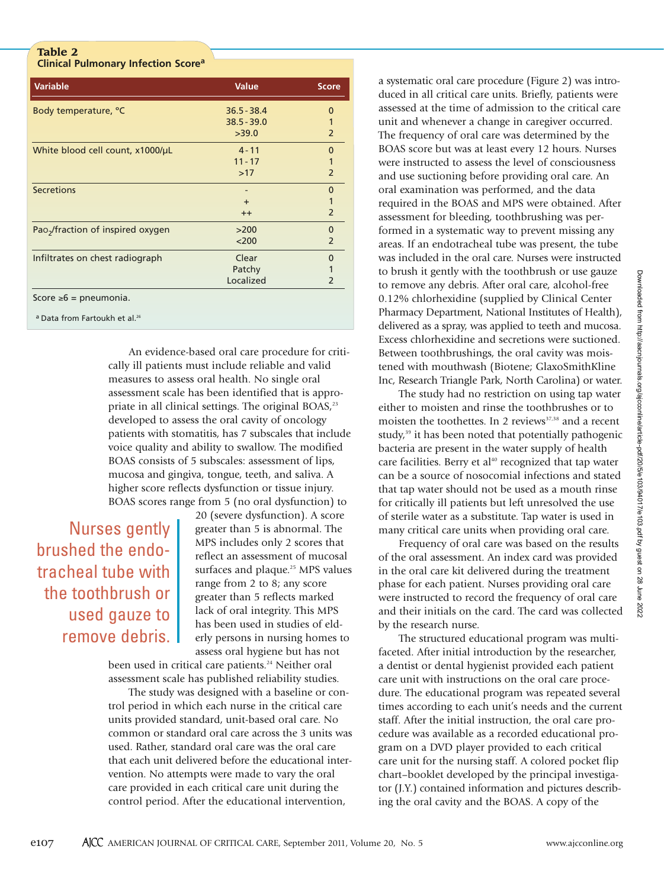# **Table 2 Clinical Pulmonary Infection Score<sup>a</sup>**

| <b>Variable</b>                               | <b>Value</b>  | <b>Score</b>   |
|-----------------------------------------------|---------------|----------------|
| Body temperature, °C                          | $36.5 - 38.4$ | O              |
|                                               | $38.5 - 39.0$ | 1              |
|                                               | >39.0         | $\overline{2}$ |
| White blood cell count, x1000/µL              | $4 - 11$      | 0              |
|                                               | $11 - 17$     |                |
|                                               | >17           | $\overline{2}$ |
| <b>Secretions</b>                             |               | $\Omega$       |
|                                               | $\ddot{}$     | 1              |
|                                               | $++$          | $\overline{2}$ |
| Pao <sub>2</sub> /fraction of inspired oxygen | >200          | $\Omega$       |
|                                               | $200$         | $\overline{2}$ |
| Infiltrates on chest radiograph               | Clear         | 0              |
|                                               | Patchy        |                |
|                                               | Localized     | 2              |
| Score $\geq 6$ = pneumonia.                   |               |                |

a Data from Fartoukh et al.<sup>26</sup>

An evidence-based oral care procedure for critically ill patients must include reliable and valid measures to assess oral health. No single oral assessment scale has been identified that is appropriate in all clinical settings. The original BOAS,<sup>23</sup> developed to assess the oral cavity of oncology patients with stomatitis, has 7 subscales that include voice quality and ability to swallow. The modified BOAS consists of 5 subscales: assessment of lips, mucosa and gingiva, tongue, teeth, and saliva. A higher score reflects dysfunction or tissue injury. BOAS scores range from 5 (no oral dysfunction) to

# Nurses gently brushed the endotracheal tube with the toothbrush or used gauze to remove debris.

20 (severe dysfunction). A score greater than 5 is abnormal. The MPS includes only 2 scores that reflect an assessment of mucosal surfaces and plaque.<sup>25</sup> MPS values range from 2 to 8; any score greater than 5 reflects marked lack of oral integrity. This MPS has been used in studies of elderly persons in nursing homes to assess oral hygiene but has not

been used in critical care patients.<sup>24</sup> Neither oral assessment scale has published reliability studies.

The study was designed with a baseline or control period in which each nurse in the critical care units provided standard, unit-based oral care. No common or standard oral care across the 3 units was used. Rather, standard oral care was the oral care that each unit delivered before the educational intervention. No attempts were made to vary the oral care provided in each critical care unit during the control period. After the educational intervention,

a systematic oral care procedure (Figure 2) was introduced in all critical care units. Briefly, patients were assessed at the time of admission to the critical care unit and whenever a change in caregiver occurred. The frequency of oral care was determined by the BOAS score but was at least every 12 hours. Nurses were instructed to assess the level of consciousness and use suctioning before providing oral care. An oral examination was performed, and the data required in the BOAS and MPS were obtained. After assessment for bleeding, toothbrushing was performed in a systematic way to prevent missing any areas. If an endotracheal tube was present, the tube was included in the oral care. Nurses were instructed to brush it gently with the toothbrush or use gauze to remove any debris. After oral care, alcohol-free 0.12% chlorhexidine (supplied by Clinical Center Pharmacy Department, National Institutes of Health), delivered as a spray, was applied to teeth and mucosa. Excess chlorhexidine and secretions were suctioned. Between toothbrushings, the oral cavity was moistened with mouthwash (Biotene; GlaxoSmithKline Inc, Research Triangle Park, North Carolina) or water.

The study had no restriction on using tap water either to moisten and rinse the toothbrushes or to moisten the toothettes. In 2 reviews<sup>37,38</sup> and a recent study,<sup>39</sup> it has been noted that potentially pathogenic bacteria are present in the water supply of health care facilities. Berry et al<sup>40</sup> recognized that tap water can be a source of nosocomial infections and stated that tap water should not be used as a mouth rinse for critically ill patients but left unresolved the use of sterile water as a substitute. Tap water is used in many critical care units when providing oral care.

Frequency of oral care was based on the results of the oral assessment. An index card was provided in the oral care kit delivered during the treatment phase for each patient. Nurses providing oral care were instructed to record the frequency of oral care and their initials on the card. The card was collected by the research nurse.

The structured educational program was multifaceted. After initial introduction by the researcher, a dentist or dental hygienist provided each patient care unit with instructions on the oral care procedure. The educational program was repeated several times according to each unit's needs and the current staff. After the initial instruction, the oral care procedure was available as a recorded educational program on a DVD player provided to each critical care unit for the nursing staff. A colored pocket flip chart–booklet developed by the principal investigator (J.Y.) contained information and pictures describing the oral cavity and the BOAS. A copy of the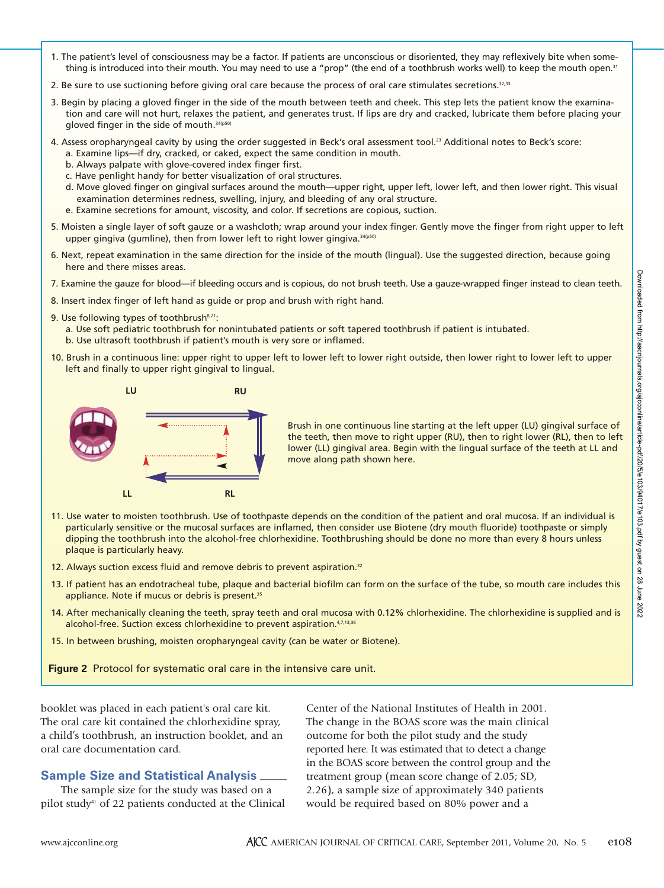- 1. The patient's level of consciousness may be a factor. If patients are unconscious or disoriented, they may reflexively bite when something is introduced into their mouth. You may need to use a "prop" (the end of a toothbrush works well) to keep the mouth open.<sup>31</sup>
- 2. Be sure to use suctioning before giving oral care because the process of oral care stimulates secretions.<sup>32,33</sup>
- 3. Begin by placing a gloved finger in the side of the mouth between teeth and cheek. This step lets the patient know the examination and care will not hurt, relaxes the patient, and generates trust. If lips are dry and cracked, lubricate them before placing your gloved finger in the side of mouth. 34(p50)
- 4. Assess oropharyngeal cavity by using the order suggested in Beck's oral assessment tool.<sup>23</sup> Additional notes to Beck's score: a. Examine lips—if dry, cracked, or caked, expect the same condition in mouth.
	- b. Always palpate with glove-covered index finger first.
	- c. Have penlight handy for better visualization of oral structures.
	- d. Move gloved finger on gingival surfaces around the mouth—upper right, upper left, lower left, and then lower right. This visual examination determines redness, swelling, injury, and bleeding of any oral structure.
	- e. Examine secretions for amount, viscosity, and color. If secretions are copious, suction.
- 5. Moisten a single layer of soft gauze or a washcloth; wrap around your index finger. Gently move the finger from right upper to left upper gingiva (gumline), then from lower left to right lower gingiva. 34(p50)
- 6. Next, repeat examination in the same direction for the inside of the mouth (lingual). Use the suggested direction, because going here and there misses areas.
- 7. Examine the gauze for blood—if bleeding occurs and is copious, do not brush teeth. Use a gauze-wrapped finger instead to clean teeth.
- 8. Insert index finger of left hand as guide or prop and brush with right hand.
- 9. Use following types of toothbrush<sup>8,21</sup>:

a. Use soft pediatric toothbrush for nonintubated patients or soft tapered toothbrush if patient is intubated. b. Use ultrasoft toothbrush if patient's mouth is very sore or inflamed.

10. Brush in a continuous line: upper right to upper left to lower left to lower right outside, then lower right to lower left to upper left and finally to upper right gingival to lingual.



Brush in one continuous line starting at the left upper (LU) gingival surface of the teeth, then move to right upper (RU), then to right lower (RL), then to left lower (LL) gingival area. Begin with the lingual surface of the teeth at LL and move along path shown here.

- 11. Use water to moisten toothbrush. Use of toothpaste depends on the condition of the patient and oral mucosa. If an individual is particularly sensitive or the mucosal surfaces are inflamed, then consider use Biotene (dry mouth fluoride) toothpaste or simply dipping the toothbrush into the alcohol-free chlorhexidine. Toothbrushing should be done no more than every 8 hours unless plaque is particularly heavy.
- 12. Always suction excess fluid and remove debris to prevent aspiration.<sup>32</sup>
- 13. If patient has an endotracheal tube, plaque and bacterial biofilm can form on the surface of the tube, so mouth care includes this appliance. Note if mucus or debris is present.<sup>35</sup>
- 14. After mechanically cleaning the teeth, spray teeth and oral mucosa with 0.12% chlorhexidine. The chlorhexidine is supplied and is alcohol-free. Suction excess chlorhexidine to prevent aspiration.<sup>4,7,13,36</sup>
- 15. In between brushing, moisten oropharyngeal cavity (can be water or Biotene).

**Figure 2** Protocol for systematic oral care in the intensive care unit.

booklet was placed in each patient's oral care kit. The oral care kit contained the chlorhexidine spray, a child's toothbrush, an instruction booklet, and an oral care documentation card.

# **Sample Size and Statistical Analysis**

The sample size for the study was based on a pilot study41 of 22 patients conducted at the Clinical

Center of the National Institutes of Health in 2001. The change in the BOAS score was the main clinical outcome for both the pilot study and the study reported here. It was estimated that to detect a change in the BOAS score between the control group and the treatment group (mean score change of 2.05; SD, 2.26), a sample size of approximately 340 patients would be required based on 80% power and a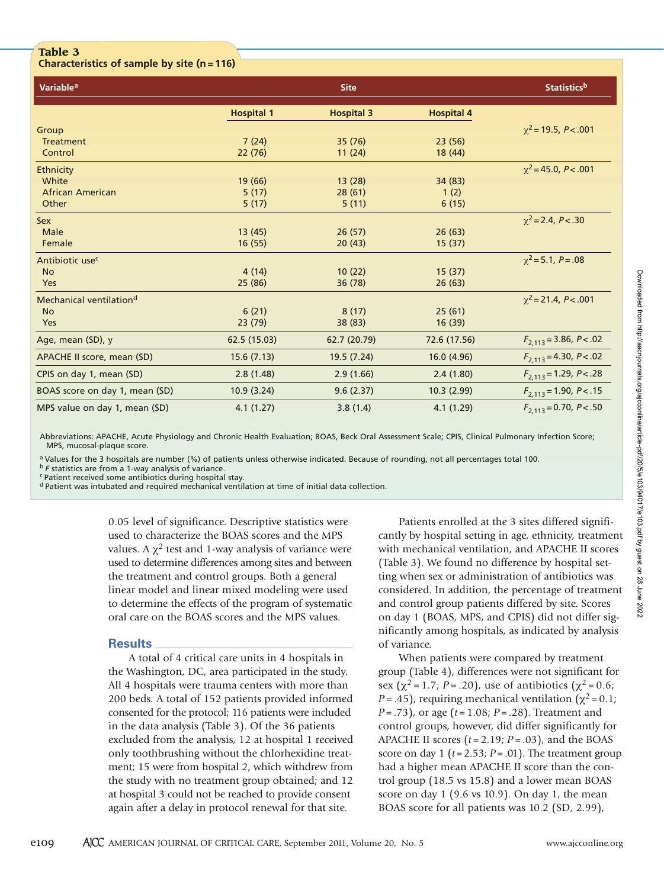# **Table 3**

**Characteristics of sample by site (n=116)**

| Variable <sup>a</sup>               |                   | <b>Site</b>       |                   | <b>Statistics</b> b         |
|-------------------------------------|-------------------|-------------------|-------------------|-----------------------------|
|                                     | <b>Hospital 1</b> | <b>Hospital 3</b> | <b>Hospital 4</b> |                             |
| Group                               |                   |                   |                   | $\chi^2$ = 19.5, P < .001   |
| <b>Treatment</b>                    | 7(24)             | 35 (76)           | 23(56)            |                             |
| Control                             | 22 (76)           | 11(24)            | 18 (44)           |                             |
| Ethnicity                           |                   |                   |                   | $\chi^2$ = 45.0, P < .001   |
| White                               | 19 (66)           | 13(28)            | 34 (83)           |                             |
| <b>African American</b>             | 5(17)             | 28(61)            | 1(2)              |                             |
| Other                               | 5(17)             | 5(11)             | 6(15)             |                             |
| <b>Sex</b>                          |                   |                   |                   | $\chi^2$ = 2.4, P < .30     |
| Male                                | 13(45)            | 26(57)            | 26(63)            |                             |
| Female                              | 16 (55)           | 20(43)            | 15 (37)           |                             |
| Antibiotic use <sup>c</sup>         |                   |                   |                   | $\chi^2$ = 5.1, P = .08     |
| <b>No</b>                           | 4(14)             | 10(22)            | 15(37)            |                             |
| <b>Yes</b>                          | 25 (86)           | 36 (78)           | 26(63)            |                             |
| Mechanical ventilation <sup>d</sup> |                   |                   |                   | $\chi^2$ = 21.4, P < .001   |
| <b>No</b>                           | 6(21)             | 8(17)             | 25(61)            |                             |
| Yes                                 | 23(79)            | 38 (83)           | 16(39)            |                             |
| Age, mean (SD), y                   | 62.5 (15.03)      | 62.7 (20.79)      | 72.6 (17.56)      | $F_{2.113} = 3.86, P < .02$ |
| APACHE II score, mean (SD)          | 15.6(7.13)        | 19.5 (7.24)       | 16.0 (4.96)       | $F_{2,113} = 4.30, P < .02$ |
| CPIS on day 1, mean (SD)            | 2.8(1.48)         | 2.9(1.66)         | 2.4(1.80)         | $F_{2,113} = 1.29, P < .28$ |
| BOAS score on day 1, mean (SD)      | 10.9(3.24)        | 9.6(2.37)         | 10.3(2.99)        | $F_{2,113} = 1.90, P < .15$ |
| MPS value on day 1, mean (SD)       | 4.1(1.27)         | 3.8(1.4)          | 4.1(1.29)         | $F_{2,113} = 0.70, P < .50$ |

Abbreviations: APACHE, Acute Physiology and Chronic Health Evaluation; BOAS, Beck Oral Assessment Scale; CPIS, Clinical Pulmonary Infection Score; MPS, mucosal-plaque score.

a Values for the 3 hospitals are number (%) of patients unless otherwise indicated. Because of rounding, not all percentages total 100. <sup>b</sup>*F* statistics are from a 1-way analysis of variance.

c Patient received some antibiotics during hospital stay.

d Patient was intubated and required mechanical ventilation at time of initial data collection.

0.05 level of significance. Descriptive statistics were used to characterize the BOAS scores and the MPS values. A  $\chi^2$  test and 1-way analysis of variance were used to determine differences among sites and between the treatment and control groups. Both a general linear model and linear mixed modeling were used to determine the effects of the program of systematic oral care on the BOAS scores and the MPS values.

# **Results**

A total of 4 critical care units in 4 hospitals in the Washington, DC, area participated in the study. All 4 hospitals were trauma centers with more than 200 beds. A total of 152 patients provided informed consented for the protocol; 116 patients were included in the data analysis (Table 3). Of the 36 patients excluded from the analysis, 12 at hospital 1 received only toothbrushing without the chlorhexidine treatment; 15 were from hospital 2, which withdrew from the study with no treatment group obtained; and 12 at hospital 3 could not be reached to provide consent again after a delay in protocol renewal for that site.

Patients enrolled at the 3 sites differed significantly by hospital setting in age, ethnicity, treatment with mechanical ventilation, and APACHE II scores (Table 3). We found no difference by hospital setting when sex or administration of antibiotics was considered. In addition, the percentage of treatment and control group patients differed by site. Scores on day 1 (BOAS, MPS, and CPIS) did not differ significantly among hospitals, as indicated by analysis of variance.

When patients were compared by treatment group (Table 4), differences were not significant for sex ( $\chi^2$  = 1.7; *P* = .20), use of antibiotics ( $\chi^2$  = 0.6; *P* = .45), requiring mechanical ventilation ( $\chi^2$  = 0.1; *P* = .73), or age (*t* = 1.08; *P* = .28). Treatment and control groups, however, did differ significantly for APACHE II scores  $(t = 2.19; P = .03)$ , and the BOAS score on day 1 ( $t = 2.53$ ;  $P = .01$ ). The treatment group had a higher mean APACHE II score than the control group (18.5 vs 15.8) and a lower mean BOAS score on day 1 (9.6 vs 10.9). On day 1, the mean BOAS score for all patients was 10.2 (SD, 2.99),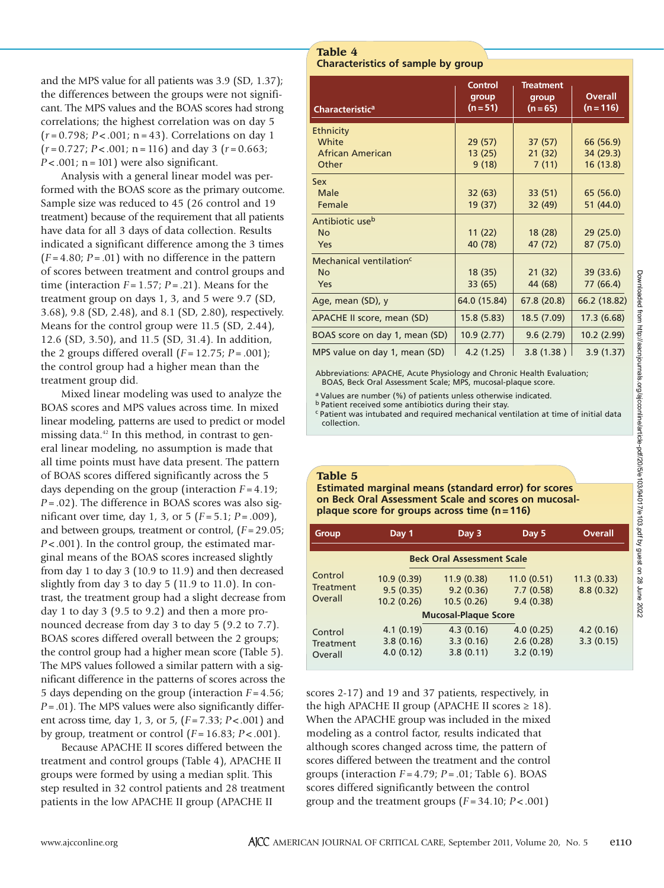and the MPS value for all patients was 3.9 (SD, 1.37); the differences between the groups were not significant. The MPS values and the BOAS scores had strong correlations; the highest correlation was on day 5 (*r* = 0.798; *P* < .001; n = 43). Correlations on day 1 (*r* = 0.727; *P* < .001; n = 116) and day 3 (*r* = 0.663;  $P < .001$ ; n = 101) were also significant.

Analysis with a general linear model was performed with the BOAS score as the primary outcome. Sample size was reduced to 45 (26 control and 19 treatment) because of the requirement that all patients have data for all 3 days of data collection. Results indicated a significant difference among the 3 times  $(F = 4.80; P = .01)$  with no difference in the pattern of scores between treatment and control groups and time (interaction  $F = 1.57$ ;  $P = .21$ ). Means for the treatment group on days 1, 3, and 5 were 9.7 (SD, 3.68), 9.8 (SD, 2.48), and 8.1 (SD, 2.80), respectively. Means for the control group were 11.5 (SD, 2.44), 12.6 (SD, 3.50), and 11.5 (SD, 31.4). In addition, the 2 groups differed overall  $(F = 12.75; P = .001)$ ; the control group had a higher mean than the treatment group did.

Mixed linear modeling was used to analyze the BOAS scores and MPS values across time. In mixed linear modeling, patterns are used to predict or model missing data. $42$  In this method, in contrast to general linear modeling, no assumption is made that all time points must have data present. The pattern of BOAS scores differed significantly across the 5 days depending on the group (interaction *F* = 4.19; *P* = .02). The difference in BOAS scores was also significant over time, day 1, 3, or 5 (*F* = 5.1; *P* = .009), and between groups, treatment or control, (*F*= 29.05; *P* < .001). In the control group, the estimated marginal means of the BOAS scores increased slightly from day 1 to day 3 (10.9 to 11.9) and then decreased slightly from day 3 to day 5 (11.9 to 11.0). In contrast, the treatment group had a slight decrease from day 1 to day 3 (9.5 to 9.2) and then a more pronounced decrease from day 3 to day 5 (9.2 to 7.7). BOAS scores differed overall between the 2 groups; the control group had a higher mean score (Table 5). The MPS values followed a similar pattern with a significant difference in the patterns of scores across the 5 days depending on the group (interaction *F* = 4.56; *P*= .01). The MPS values were also significantly different across time, day 1, 3, or 5, (*F*= 7.33; *P*< .001) and by group, treatment or control  $(F = 16.83; P < .001)$ .

Because APACHE II scores differed between the treatment and control groups (Table 4), APACHE II groups were formed by using a median split. This step resulted in 32 control patients and 28 treatment patients in the low APACHE II group (APACHE II

**Table 4 Characteristics of sample by group**

| Characteristic <sup>a</sup>         | <b>Control</b><br>group<br>$(n=51)$ | <b>Treatment</b><br>group<br>$(n=65)$ | <b>Overall</b><br>$(n = 116)$ |
|-------------------------------------|-------------------------------------|---------------------------------------|-------------------------------|
| <b>Ethnicity</b>                    |                                     |                                       |                               |
| White                               | 29 (57)                             | 37(57)                                | 66 (56.9)                     |
| <b>African American</b>             | 13(25)                              | 21(32)                                | 34 (29.3)                     |
| Other                               | 9(18)                               | 7(11)                                 | 16 (13.8)                     |
| Sex                                 |                                     |                                       |                               |
| Male                                | 32(63)                              | 33 (51)                               | 65 (56.0)                     |
| Female                              | 19 (37)                             | 32 (49)                               | 51 (44.0)                     |
| Antibiotic use <sup>b</sup>         |                                     |                                       |                               |
| <b>No</b>                           | 11(22)                              | 18 (28)                               | 29(25.0)                      |
| Yes                                 | 40 (78)                             | 47 (72)                               | 87 (75.0)                     |
| Mechanical ventilation <sup>c</sup> |                                     |                                       |                               |
| <b>No</b>                           | 18 (35)                             | 21(32)                                | 39 (33.6)                     |
| Yes                                 | 33 (65)                             | 44 (68)                               | 77 (66.4)                     |
| Age, mean (SD), y                   | 64.0 (15.84)                        | 67.8 (20.8)                           | 66.2 (18.82)                  |
| APACHE II score, mean (SD)          | 15.8 (5.83)                         | 18.5 (7.09)                           | 17.3 (6.68)                   |
| BOAS score on day 1, mean (SD)      | 10.9 (2.77)                         | 9.6(2.79)                             | 10.2 (2.99)                   |
| MPS value on day 1, mean (SD)       | 4.2(1.25)                           | 3.8(1.38)                             | 3.9(1.37)                     |

Abbreviations: APACHE, Acute Physiology and Chronic Health Evaluation; BOAS, Beck Oral Assessment Scale; MPS, mucosal-plaque score.

a Values are number (%) of patients unless otherwise indicated.

b Patient received some antibiotics during their stay.

c Patient was intubated and required mechanical ventilation at time of initial data collection.

# **Table 5**

**Estimated marginal means (standard error) for scores on Beck Oral Assessment Scale and scores on mucosalplaque score for groups across time (n=116)**

| Group                                                                    | Day 1                               | Day 3                                  | Day 5                                | <b>Overall</b>          |  |  |  |  |  |
|--------------------------------------------------------------------------|-------------------------------------|----------------------------------------|--------------------------------------|-------------------------|--|--|--|--|--|
|                                                                          |                                     | <b>Beck Oral Assessment Scale</b>      |                                      |                         |  |  |  |  |  |
| Control<br>10.9(0.39)<br>Treatment<br>9.5(0.35)<br>Overall<br>10.2(0.26) |                                     | 11.9 (0.38)<br>9.2(0.36)<br>10.5(0.26) | 11.0(0.51)<br>7.7(0.58)<br>9.4(0.38) | 11.3(0.33)<br>8.8(0.32) |  |  |  |  |  |
| <b>Mucosal-Plaque Score</b>                                              |                                     |                                        |                                      |                         |  |  |  |  |  |
| Control<br>Treatment<br>Overall                                          | 4.1(0.19)<br>3.8(0.16)<br>4.0(0.12) | 4.3(0.16)<br>3.3(0.16)<br>3.8(0.11)    | 4.0(0.25)<br>2.6(0.28)<br>3.2(0.19)  | 4.2(0.16)<br>3.3(0.15)  |  |  |  |  |  |

scores 2-17) and 19 and 37 patients, respectively, in the high APACHE II group (APACHE II scores  $\geq 18$ ). When the APACHE group was included in the mixed modeling as a control factor, results indicated that although scores changed across time, the pattern of scores differed between the treatment and the control groups (interaction *F* = 4.79; *P* = .01; Table 6). BOAS scores differed significantly between the control group and the treatment groups (*F* = 34.10; *P* < .001)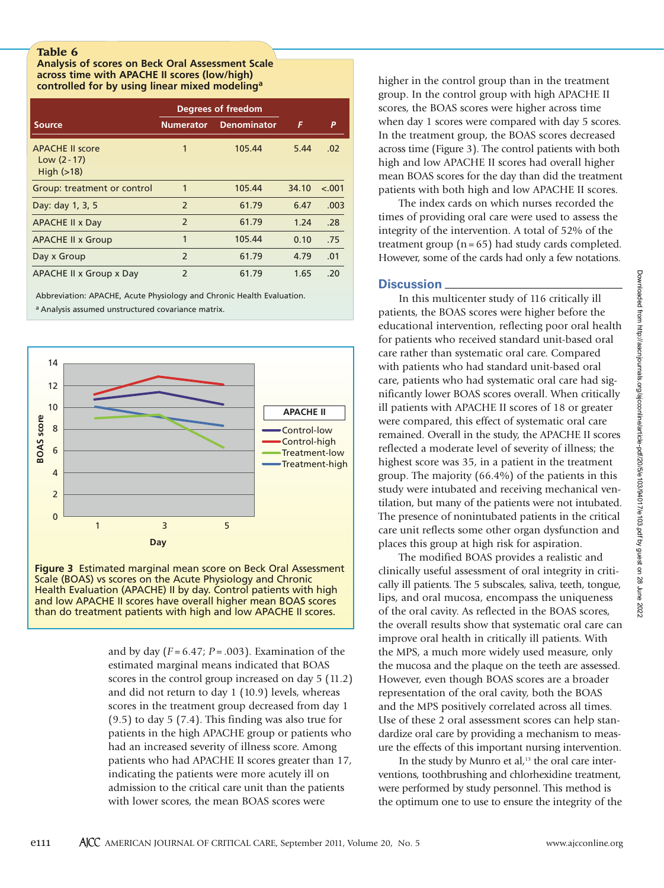**Analysis of scores on Beck Oral Assessment Scale across time with APACHE II scores (low/high) controlled for by using linear mixed modeling<sup>a</sup>**

|                                                          | Degrees of freedom       |                    |       |         |
|----------------------------------------------------------|--------------------------|--------------------|-------|---------|
| <b>Source</b>                                            | <b>Numerator</b>         | <b>Denominator</b> | F     | P       |
| <b>APACHE II score</b><br>Low $(2 - 17)$<br>High $(>18)$ | 1                        | 105.44             | 5.44  | .02     |
| Group: treatment or control                              | 1                        | 105.44             | 34.10 | $-.001$ |
| Day: day 1, 3, 5                                         | $\overline{\phantom{0}}$ | 61.79              | 6.47  | .003    |
| <b>APACHE II x Day</b>                                   | $\overline{2}$           | 61.79              | 1.24  | .28     |
| <b>APACHE II x Group</b>                                 | 1                        | 105.44             | 0.10  | .75     |
| Day x Group                                              | $\overline{\phantom{0}}$ | 61.79              | 4.79  | .01     |
| APACHE II x Group x Day                                  | $\overline{2}$           | 61.79              | 1.65  | .20     |

Abbreviation: APACHE, Acute Physiology and Chronic Health Evaluation.

a Analysis assumed unstructured covariance matrix.





and by day  $(F = 6.47; P = .003)$ . Examination of the estimated marginal means indicated that BOAS scores in the control group increased on day 5 (11.2) and did not return to day 1 (10.9) levels, whereas scores in the treatment group decreased from day 1 (9.5) to day 5 (7.4). This finding was also true for patients in the high APACHE group or patients who had an increased severity of illness score. Among patients who had APACHE II scores greater than 17, indicating the patients were more acutely ill on admission to the critical care unit than the patients with lower scores, the mean BOAS scores were

higher in the control group than in the treatment group. In the control group with high APACHE II scores, the BOAS scores were higher across time when day 1 scores were compared with day 5 scores. In the treatment group, the BOAS scores decreased across time (Figure 3). The control patients with both high and low APACHE II scores had overall higher mean BOAS scores for the day than did the treatment patients with both high and low APACHE II scores.

The index cards on which nurses recorded the times of providing oral care were used to assess the integrity of the intervention. A total of 52% of the treatment group  $(n = 65)$  had study cards completed. However, some of the cards had only a few notations.

# **Discussion**

In this multicenter study of 116 critically ill patients, the BOAS scores were higher before the educational intervention, reflecting poor oral health for patients who received standard unit-based oral care rather than systematic oral care. Compared with patients who had standard unit-based oral care, patients who had systematic oral care had significantly lower BOAS scores overall. When critically ill patients with APACHE II scores of 18 or greater were compared, this effect of systematic oral care remained. Overall in the study, the APACHE II scores reflected a moderate level of severity of illness; the highest score was 35, in a patient in the treatment group. The majority (66.4%) of the patients in this study were intubated and receiving mechanical ventilation, but many of the patients were not intubated. The presence of nonintubated patients in the critical care unit reflects some other organ dysfunction and places this group at high risk for aspiration.

The modified BOAS provides a realistic and clinically useful assessment of oral integrity in critically ill patients. The 5 subscales, saliva, teeth, tongue, lips, and oral mucosa, encompass the uniqueness of the oral cavity. As reflected in the BOAS scores, the overall results show that systematic oral care can improve oral health in critically ill patients. With the MPS, a much more widely used measure, only the mucosa and the plaque on the teeth are assessed. However, even though BOAS scores are a broader representation of the oral cavity, both the BOAS and the MPS positively correlated across all times. Use of these 2 oral assessment scores can help standardize oral care by providing a mechanism to measure the effects of this important nursing intervention.

In the study by Munro et al, $13$  the oral care interventions, toothbrushing and chlorhexidine treatment, were performed by study personnel. This method is the optimum one to use to ensure the integrity of the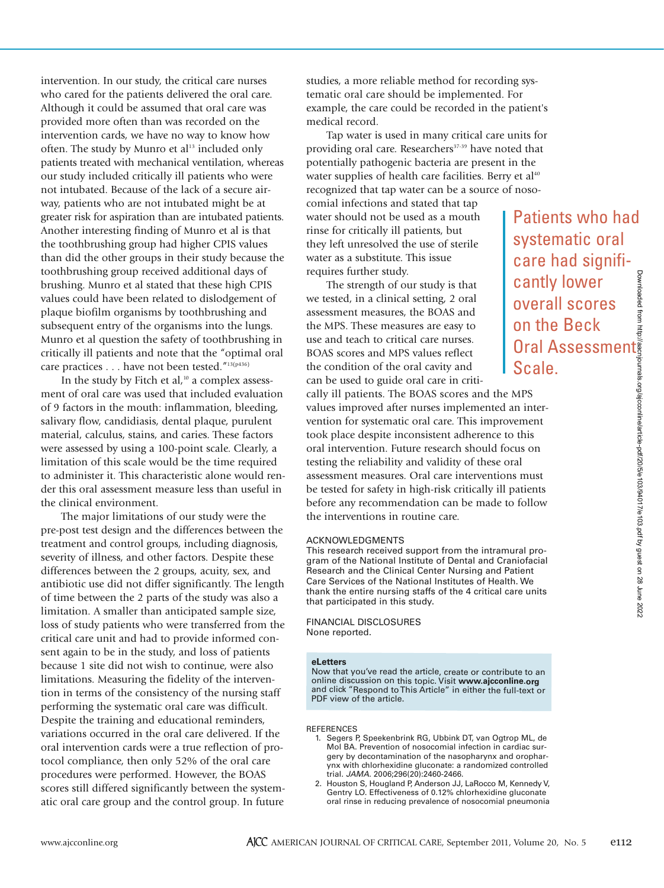intervention. In our study, the critical care nurses who cared for the patients delivered the oral care. Although it could be assumed that oral care was provided more often than was recorded on the intervention cards, we have no way to know how often. The study by Munro et al<sup>13</sup> included only patients treated with mechanical ventilation, whereas our study included critically ill patients who were not intubated. Because of the lack of a secure airway, patients who are not intubated might be at greater risk for aspiration than are intubated patients. Another interesting finding of Munro et al is that the toothbrushing group had higher CPIS values than did the other groups in their study because the toothbrushing group received additional days of brushing. Munro et al stated that these high CPIS values could have been related to dislodgement of plaque biofilm organisms by toothbrushing and subsequent entry of the organisms into the lungs. Munro et al question the safety of toothbrushing in critically ill patients and note that the "optimal oral care practices . . . have not been tested."13(p436)

In the study by Fitch et al, $10$  a complex assessment of oral care was used that included evaluation of 9 factors in the mouth: inflammation, bleeding, salivary flow, candidiasis, dental plaque, purulent material, calculus, stains, and caries. These factors were assessed by using a 100-point scale. Clearly, a limitation of this scale would be the time required to administer it. This characteristic alone would render this oral assessment measure less than useful in the clinical environment.

The major limitations of our study were the pre-post test design and the differences between the treatment and control groups, including diagnosis, severity of illness, and other factors. Despite these differences between the 2 groups, acuity, sex, and antibiotic use did not differ significantly. The length of time between the 2 parts of the study was also a limitation. A smaller than anticipated sample size, loss of study patients who were transferred from the critical care unit and had to provide informed consent again to be in the study, and loss of patients because 1 site did not wish to continue, were also limitations. Measuring the fidelity of the intervention in terms of the consistency of the nursing staff performing the systematic oral care was difficult. Despite the training and educational reminders, variations occurred in the oral care delivered. If the oral intervention cards were a true reflection of protocol compliance, then only 52% of the oral care procedures were performed. However, the BOAS scores still differed significantly between the systematic oral care group and the control group. In future

studies, a more reliable method for recording systematic oral care should be implemented. For example, the care could be recorded in the patient's medical record.

Tap water is used in many critical care units for providing oral care. Researchers<sup>37-39</sup> have noted that potentially pathogenic bacteria are present in the water supplies of health care facilities. Berry et al<sup>40</sup> recognized that tap water can be a source of noso-

comial infections and stated that tap water should not be used as a mouth rinse for critically ill patients, but they left unresolved the use of sterile water as a substitute. This issue requires further study.

The strength of our study is that we tested, in a clinical setting, 2 oral assessment measures, the BOAS and the MPS. These measures are easy to use and teach to critical care nurses. BOAS scores and MPS values reflect the condition of the oral cavity and can be used to guide oral care in criti-

cally ill patients. The BOAS scores and the MPS values improved after nurses implemented an intervention for systematic oral care. This improvement took place despite inconsistent adherence to this oral intervention. Future research should focus on testing the reliability and validity of these oral assessment measures. Oral care interventions must be tested for safety in high-risk critically ill patients before any recommendation can be made to follow the interventions in routine care. Cantly lower<br>
overall scores<br>
on the Beck<br>
Oral Assessment<br>
Scale.<br>
MPS<br>
In inter-<br>
inter-<br>
inter-<br>
this<br>
cus on<br>
al<br>
s must<br>
and pro-<br>
and pro-<br>
indicated<br>
inter-<br>
inter-<br>  $\frac{1}{2}$ <br>  $\frac{1}{2}$ <br>  $\frac{1}{2}$ <br>  $\frac{1}{2}$ <br>  $\frac{1$ 

# ACKNOWLEDGMENTS

This research received support from the intramural program of the National Institute of Dental and Craniofacial Research and the Clinical Center Nursing and Patient Care Services of the National Institutes of Health. We thank the entire nursing staffs of the 4 critical care units that participated in this study.

# FINANCIAL DISCLOSURES None reported.

### **eLetters**

Now that you've read the article, create or contribute to an online discussion on this topic. Visit **www.ajcconline.org** and click "Respond to This Article" in either the full-text or PDF view of the article.

### REFERENCES

- 1. Segers P, Speekenbrink RG, Ubbink DT, van Ogtrop ML, de Mol BA. Prevention of nosocomial infection in cardiac surgery by decontamination of the nasopharynx and oropharynx with chlorhexidine gluconate: a randomized controlled trial. *JAMA.* 2006;296(20):2460-2466.
- 2. Houston S, Hougland P, Anderson JJ, LaRocco M, Kennedy V, Gentry LO. Effectiveness of 0.12% chlorhexidine gluconate oral rinse in reducing prevalence of nosocomial pneumonia

Patients who had

systematic oral care had signifi-

cantly lower overall scores on the Beck

Scale.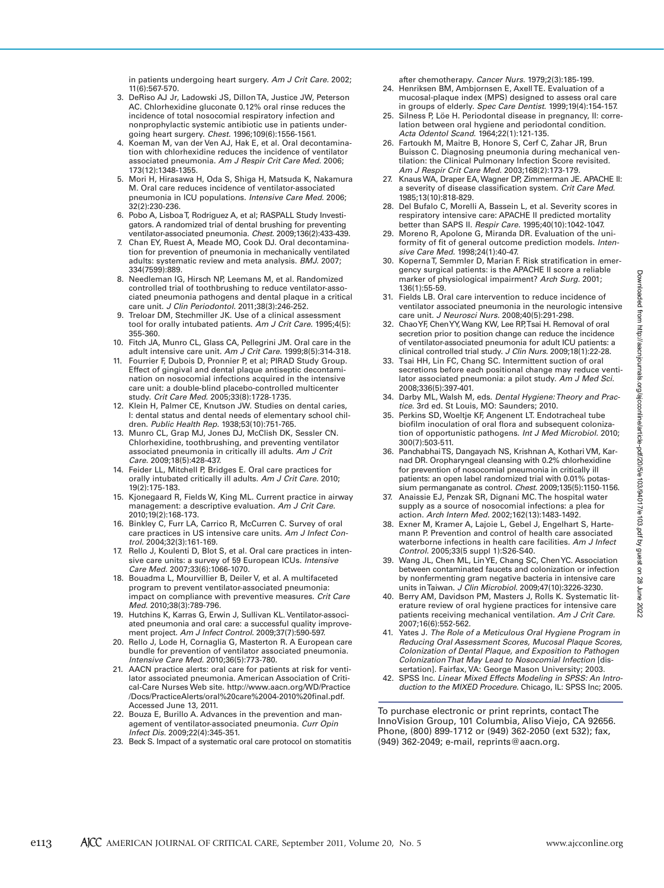in patients undergoing heart surgery. *Am J Crit Care.* 2002; 11(6):567-570.

- 3. DeRiso AJ Jr, Ladowski JS, Dillon TA, Justice JW, Peterson AC. Chlorhexidine gluconate 0.12% oral rinse reduces the incidence of total nosocomial respiratory infection and nonprophylactic systemic antibiotic use in patients undergoing heart surgery. *Chest.* 1996;109(6):1556-1561.
- 4. Koeman M, van der Ven AJ, Hak E, et al. Oral decontamination with chlorhexidine reduces the incidence of ventilator associated pneumonia. *Am J Respir Crit Care Med.* 2006; 173(12):1348-1355.
- 5. Mori H, Hirasawa H, Oda S, Shiga H, Matsuda K, Nakamura M. Oral care reduces incidence of ventilator-associated pneumonia in ICU populations. *Intensive Care Med.* 2006; 32(2):230-236.
- 6. Pobo A, Lisboa T, Rodriguez A, et al; RASPALL Study Investigators. A randomized trial of dental brushing for preventing ventilator-associated pneumonia. *Chest.* 2009;136(2):433-439.
- Chan EY, Ruest A, Meade MO, Cook DJ. Oral decontamination for prevention of pneumonia in mechanically ventilated adults: systematic review and meta analysis. *BMJ.* 2007; 334(7599):889.
- 8. Needleman IG, Hirsch NP, Leemans M, et al. Randomized controlled trial of toothbrushing to reduce ventilator-associated pneumonia pathogens and dental plaque in a critical care unit. *J Clin Periodontol.* 2011;38(3):246-252.
- 9. Treloar DM, Stechmiller JK. Use of a clinical assessment tool for orally intubated patients. *Am J Crit Care.* 1995;4(5): 355-360.
- 10. Fitch JA, Munro CL, Glass CA, Pellegrini JM. Oral care in the adult intensive care unit. *Am J Crit Care.* 1999;8(5):314-318.
- 11. Fourrier F, Dubois D, Pronnier P, et al; PIRAD Study Group. Effect of gingival and dental plaque antiseptic decontamination on nosocomial infections acquired in the intensive care unit: a double-blind placebo-controlled multicenter study. *Crit Care Med.* 2005;33(8):1728-1735.
- 12. Klein H, Palmer CE, Knutson JW. Studies on dental caries, I: dental status and dental needs of elementary school children. *Public Health Rep.* 1938;53(10):751-765.
- 13. Munro CL, Grap MJ, Jones DJ, McClish DK, Sessler CN. Chlorhexidine, toothbrushing, and preventing ventilator associated pneumonia in critically ill adults. *Am J Crit Care.* 2009;18(5):428-437.
- 14. Feider LL, Mitchell P, Bridges E. Oral care practices for orally intubated critically ill adults. *Am J Crit Care.* 2010; 19(2):175-183.
- 15. Kjonegaard R, Fields W, King ML. Current practice in airway management: a descriptive evaluation. *Am J Crit Care.* 2010;19(2):168-173.
- 16. Binkley C, Furr LA, Carrico R, McCurren C. Survey of oral care practices in US intensive care units. *Am J Infect Control.* 2004;32(3):161-169.
- 17. Rello J, Koulenti D, Blot S, et al. Oral care practices in intensive care units: a survey of 59 European ICUs. *Intensive Care Med.* 2007;33(6):1066-1070.
- 18. Bouadma L, Mourvillier B, Deiler V, et al. A multifaceted program to prevent ventilator-associated pneumonia: impact on compliance with preventive measures. *Crit Care Med.* 2010;38(3):789-796.
- 19. Hutchins K, Karras G, Erwin J, Sullivan KL. Ventilator-associated pneumonia and oral care: a successful quality improvement project. *Am J Infect Control.* 2009;37(7):590-597.
- 20. Rello J, Lode H, Cornaglia G, Masterton R. A European care bundle for prevention of ventilator associated pneumonia. *Intensive Care Med.* 2010;36(5):773-780.
- 21. AACN practice alerts: oral care for patients at risk for ventilator associated pneumonia. American Association of Critical-Care Nurses Web site. http://www.aacn.org/WD/Practice /Docs/PracticeAlerts/oral%20care%2004-2010%20final.pdf. Accessed June 13, 2011.
- 22. Bouza E, Burillo A. Advances in the prevention and management of ventilator-associated pneumonia. *Curr Opin Infect Dis.* 2009;22(4):345-351.
- 23. Beck S. Impact of a systematic oral care protocol on stomatitis

after chemotherapy. *Cancer Nurs.* 1979;2(3):185-199.

- 24. Henriksen BM, Ambjornsen E, Axell TE. Evaluation of a mucosal-plaque index (MPS) designed to assess oral care in groups of elderly. *Spec Care Dentist.* 1999;19(4):154-157.
- 25. Silness P, Löe H. Periodontal disease in pregnancy, II: correlation between oral hygiene and periodontal condition. *Acta Odentol Scand.* 1964;22(1):121-135.
- 26. Fartoukh M, Maitre B, Honore S, Cerf C, Zahar JR, Brun Buisson C. Diagnosing pneumonia during mechanical ventilation: the Clinical Pulmonary Infection Score revisited. *Am J Respir Crit Care Med.* 2003;168(2):173-179.
- 27. Knaus WA, Draper EA, Wagner DP, Zimmerman JE. APACHE II: a severity of disease classification system. *Crit Care Med.* 1985;13(10):818-829.
- 28. Del Bufalo C, Morelli A, Bassein L, et al. Severity scores in respiratory intensive care: APACHE II predicted mortality better than SAPS II. *Respir Care.* 1995;40(10):1042-1047.
- 29. Moreno R, Apolone G, Miranda DR. Evaluation of the uniformity of fit of general outcome prediction models. *Intensive Care Med.* 1998;24(1):40-47.
- 30. Koperna T, Semmler D, Marian F. Risk stratification in emergency surgical patients: is the APACHE II score a reliable marker of physiological impairment? *Arch Surg.* 2001; 136(1):55-59.
- 31. Fields LB. Oral care intervention to reduce incidence of ventilator associated pneumonia in the neurologic intensive care unit. *J Neurosci Nurs.* 2008;40(5):291-298.
- 32. Chao YF, Chen YY, Wang KW, Lee RP, Tsai H. Removal of oral secretion prior to position change can reduce the incidence of ventilator-associated pneumonia for adult ICU patients: a clinical controlled trial study. *J Clin Nurs.* 2009;18(1):22-28.
- 33. Tsai HH, Lin FC, Chang SC. Intermittent suction of oral secretions before each positional change may reduce ventilator associated pneumonia: a pilot study. *Am J Med Sci.* 2008;336(5):397-401.
- 34. Darby ML, Walsh M, eds. *Dental Hygiene: Theory and Practice.* 3rd ed. St Louis, MO: Saunders; 2010.
- 35. Perkins SD, Woeltje KF, Angenent LT. Endotracheal tube biofilm inoculation of oral flora and subsequent colonization of opportunistic pathogens. *Int J Med Microbiol.* 2010; 300(7):503-511.
- 36. Panchabhai TS, Dangayach NS, Krishnan A, Kothari VM, Karnad DR. Oropharyngeal cleansing with 0.2% chlorhexidine for prevention of nosocomial pneumonia in critically ill patients: an open label randomized trial with 0.01% potassium permanganate as control. *Chest.* 2009;135(5):1150-1156.
- 37. Anaissie EJ, Penzak SR, Dignani MC. The hospital water supply as a source of nosocomial infections: a plea for action. *Arch Intern Med.* 2002;162(13):1483-1492.
- 38. Exner M, Kramer A, Lajoie L, Gebel J, Engelhart S, Hartemann P. Prevention and control of health care associated waterborne infections in health care facilities. *Am J Infect Control.* 2005;33(5 suppl 1):S26-S40.
- 39. Wang JL, Chen ML, Lin YE, Chang SC, Chen YC. Association between contaminated faucets and colonization or infection by nonfermenting gram negative bacteria in intensive care units in Taiwan. *J Clin Microbiol.* 2009;47(10):3226-3230.
- 40. Berry AM, Davidson PM, Masters J, Rolls K. Systematic literature review of oral hygiene practices for intensive care patients receiving mechanical ventilation. *Am J Crit Care.* 2007;16(6):552-562.
- 41. Yates J. *The Role of a Meticulous Oral Hygiene Program in Reducing Oral Assessment Scores, Mucosal Plaque Scores, Colonization of Dental Plaque, and Exposition to Pathogen Colonization That May Lead to Nosocomial Infection* [dissertation]. Fairfax, VA: George Mason University; 2003.
- 42. SPSS Inc. *Linear Mixed Effects Modeling in SPSS: An Introduction to the MIXED Procedure.* Chicago, IL: SPSS Inc; 2005.

To purchase electronic or print reprints, contact The InnoVision Group, 101 Columbia, Aliso Viejo, CA 92656. Phone, (800) 899-1712 or (949) 362-2050 (ext 532); fax, (949) 362-2049; e-mail, reprints@aacn.org.